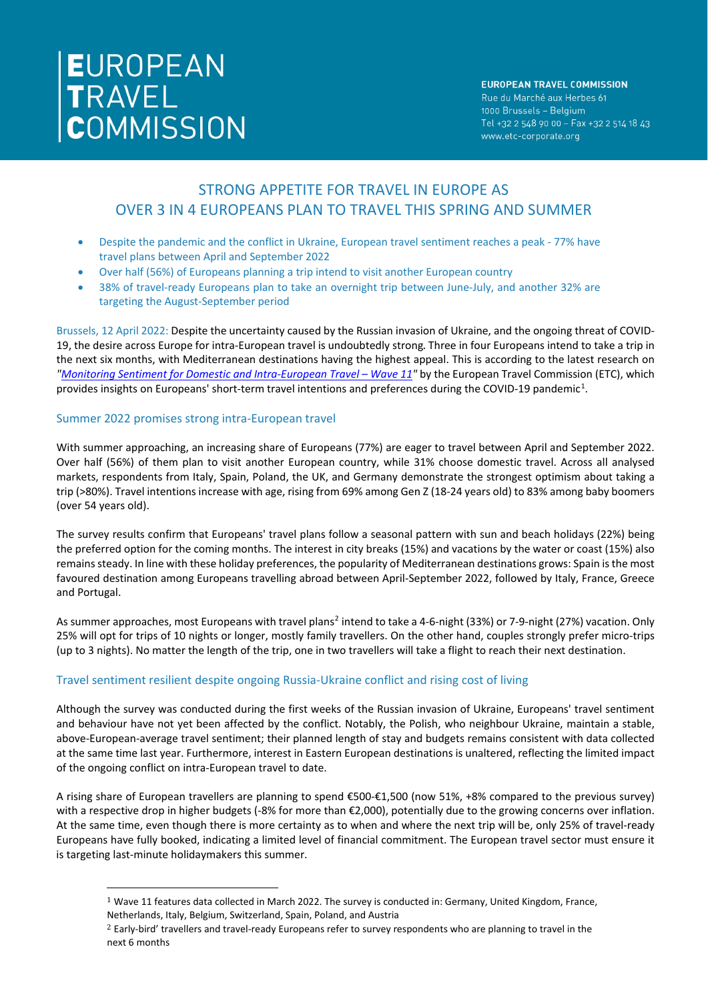# EUROPEAN<br>TRAVEL<br>COMMISSION

### **EUROPEAN TRAVEL COMMISSION**

Rue du Marché aux Herbes 61 1000 Brussels - Belgium Tel +32 2 548 90 00 - Fax +32 2 514 18 43 www.etc-corporate.org

# STRONG APPETITE FOR TRAVEL IN EUROPE AS OVER 3 IN 4 EUROPEANS PLAN TO TRAVEL THIS SPRING AND SUMMER

- Despite the pandemic and the conflict in Ukraine, European travel sentiment reaches a peak 77% have travel plans between April and September 2022
- Over half (56%) of Europeans planning a trip intend to visit another European country
- 38% of travel-ready Europeans plan to take an overnight trip between June-July, and another 32% are targeting the August-September period

Brussels, 12 April 2022: Despite the uncertainty caused by the Russian invasion of Ukraine, and the ongoing threat of COVID-19, the desire across Europe for intra-European travel is undoubtedly strong. Three in four Europeans intend to take a trip in the next six months, with Mediterranean destinations having the highest appeal. This is according to the latest research on *["Monitoring Sentiment for Domestic and Intra-European Travel –](https://etc-corporate.org/reports/monitoring-sentiment-for-domestic-and-intra-european-travel-wave-11/) Wave 11"* by the European Travel Commission (ETC), which provides insights on Europeans' short-term travel intentions and preferences during the COVID-[1](#page-0-0)9 pandemic<sup>1</sup>.

# Summer 2022 promises strong intra-European travel

With summer approaching, an increasing share of Europeans (77%) are eager to travel between April and September 2022. Over half (56%) of them plan to visit another European country, while 31% choose domestic travel. Across all analysed markets, respondents from Italy, Spain, Poland, the UK, and Germany demonstrate the strongest optimism about taking a trip (>80%). Travel intentions increase with age, rising from 69% among Gen Z (18-24 years old) to 83% among baby boomers (over 54 years old).

The survey results confirm that Europeans' travel plans follow a seasonal pattern with sun and beach holidays (22%) being the preferred option for the coming months. The interest in city breaks (15%) and vacations by the water or coast (15%) also remainssteady. In line with these holiday preferences, the popularity of Mediterranean destinations grows: Spain is the most favoured destination among Europeans travelling abroad between April-September 2022, followed by Italy, France, Greece and Portugal.

As summer approaches, most Europeans with travel plans<sup>[2](#page-0-1)</sup> intend to take a 4-6-night (33%) or 7-9-night (27%) vacation. Only 25% will opt for trips of 10 nights or longer, mostly family travellers. On the other hand, couples strongly prefer micro-trips (up to 3 nights). No matter the length of the trip, one in two travellers will take a flight to reach their next destination.

# Travel sentiment resilient despite ongoing Russia-Ukraine conflict and rising cost of living

Although the survey was conducted during the first weeks of the Russian invasion of Ukraine, Europeans' travel sentiment and behaviour have not yet been affected by the conflict. Notably, the Polish, who neighbour Ukraine, maintain a stable, above-European-average travel sentiment; their planned length of stay and budgets remains consistent with data collected at the same time last year. Furthermore, interest in Eastern European destinations is unaltered, reflecting the limited impact of the ongoing conflict on intra-European travel to date.

A rising share of European travellers are planning to spend €500-€1,500 (now 51%, +8% compared to the previous survey) with a respective drop in higher budgets (-8% for more than €2,000), potentially due to the growing concerns over inflation. At the same time, even though there is more certainty as to when and where the next trip will be, only 25% of travel-ready Europeans have fully booked, indicating a limited level of financial commitment. The European travel sector must ensure it is targeting last-minute holidaymakers this summer.

<span id="page-0-0"></span> $1$  Wave 11 features data collected in March 2022. The survey is conducted in: Germany, United Kingdom, France, Netherlands, Italy, Belgium, Switzerland, Spain, Poland, and Austria

<span id="page-0-1"></span><sup>&</sup>lt;sup>2</sup> Early-bird' travellers and travel-ready Europeans refer to survey respondents who are planning to travel in the next 6 months